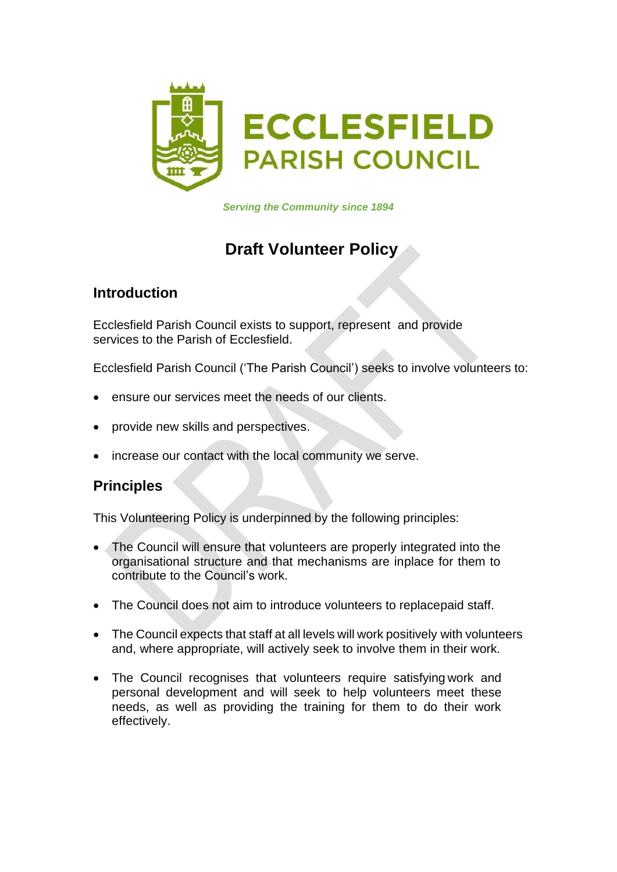

*Serving the Community since 1894*

# **Draft Volunteer Policy**

## **Introduction**

Ecclesfield Parish Council exists to support, represent and provide services to the Parish of Ecclesfield.

Ecclesfield Parish Council ('The Parish Council') seeks to involve volunteers to:

- ensure our services meet the needs of our clients.
- provide new skills and perspectives.
- increase our contact with the local community we serve.

#### **Principles**

This Volunteering Policy is underpinned by the following principles:

- The Council will ensure that volunteers are properly integrated into the organisational structure and that mechanisms are inplace for them to contribute to the Council's work.
- The Council does not aim to introduce volunteers to replacepaid staff.
- The Council expects that staff at all levels will work positively with volunteers and, where appropriate, will actively seek to involve them in their work.
- The Council recognises that volunteers require satisfying work and personal development and will seek to help volunteers meet these needs, as well as providing the training for them to do their work effectively.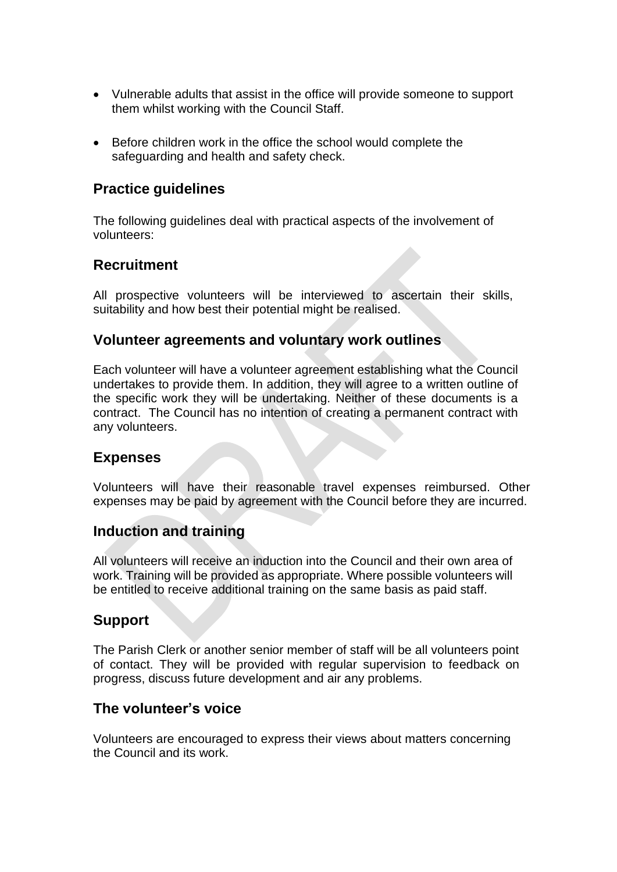- Vulnerable adults that assist in the office will provide someone to support them whilst working with the Council Staff.
- Before children work in the office the school would complete the safeguarding and health and safety check.

### **Practice guidelines**

The following guidelines deal with practical aspects of the involvement of volunteers:

## **Recruitment**

All prospective volunteers will be interviewed to ascertain their skills, suitability and how best their potential might be realised.

#### **Volunteer agreements and voluntary work outlines**

Each volunteer will have a volunteer agreement establishing what the Council undertakes to provide them. In addition, they will agree to a written outline of the specific work they will be undertaking. Neither of these documents is a contract. The Council has no intention of creating a permanent contract with any volunteers.

#### **Expenses**

Volunteers will have their reasonable travel expenses reimbursed. Other expenses may be paid by agreement with the Council before they are incurred.

#### **Induction and training**

All volunteers will receive an induction into the Council and their own area of work. Training will be provided as appropriate. Where possible volunteers will be entitled to receive additional training on the same basis as paid staff.

#### **Support**

The Parish Clerk or another senior member of staff will be all volunteers point of contact. They will be provided with regular supervision to feedback on progress, discuss future development and air any problems.

#### **The volunteer's voice**

Volunteers are encouraged to express their views about matters concerning the Council and its work.